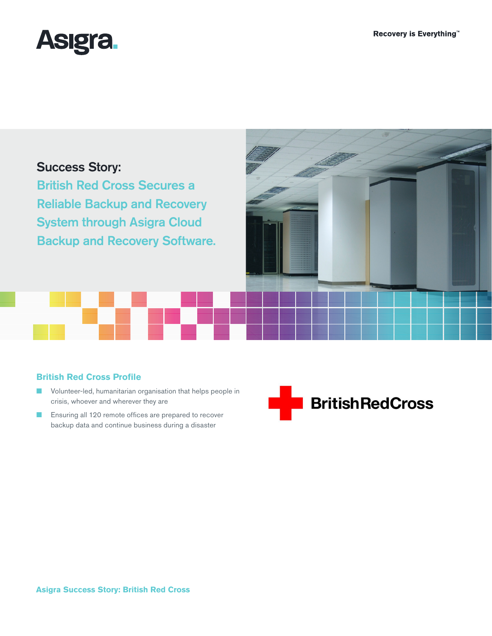

# Success Story:

British Red Cross Secures a Reliable Backup and Recovery System through Asigra Cloud Backup and Recovery Software.



## **British Red Cross Profile**

- Volunteer-led, humanitarian organisation that helps people in crisis, whoever and wherever they are
- Ensuring all 120 remote offices are prepared to recover backup data and continue business during a disaster

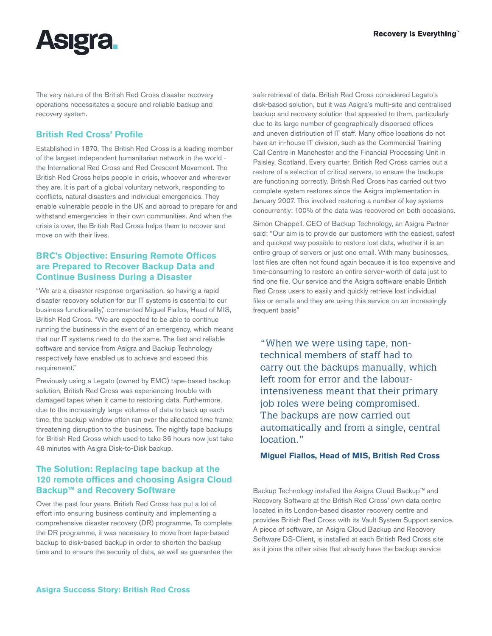

The very nature of the British Red Cross disaster recovery operations necessitates a secure and reliable backup and recovery system.

### **British Red Cross' Profile**

Established in 1870, The British Red Cross is a leading member of the largest independent humanitarian network in the world the International Red Cross and Red Crescent Movement. The British Red Cross helps people in crisis, whoever and wherever they are. It is part of a global voluntary network, responding to conflicts, natural disasters and individual emergencies. They enable vulnerable people in the UK and abroad to prepare for and withstand emergencies in their own communities. And when the crisis is over, the British Red Cross helps them to recover and move on with their lives.

#### **BRC's Objective: Ensuring Remote Offices are Prepared to Recover Backup Data and Continue Business During a Disaster**

"We are a disaster response organisation, so having a rapid disaster recovery solution for our IT systems is essential to our business functionality," commented Miguel Fiallos, Head of MIS, British Red Cross. "We are expected to be able to continue running the business in the event of an emergency, which means that our IT systems need to do the same. The fast and reliable software and service from Asigra and Backup Technology respectively have enabled us to achieve and exceed this requirement."

Previously using a Legato (owned by EMC) tape-based backup solution, British Red Cross was experiencing trouble with damaged tapes when it came to restoring data. Furthermore, due to the increasingly large volumes of data to back up each time, the backup window often ran over the allocated time frame, threatening disruption to the business. The nightly tape backups for British Red Cross which used to take 36 hours now just take 48 minutes with Asigra Disk-to-Disk backup.

### **The Solution: Replacing tape backup at the 120 remote offices and choosing Asigra Cloud Backup™ and Recovery Software**

Over the past four years, British Red Cross has put a lot of effort into ensuring business continuity and implementing a comprehensive disaster recovery (DR) programme. To complete the DR programme, it was necessary to move from tape-based backup to disk-based backup in order to shorten the backup time and to ensure the security of data, as well as guarantee the safe retrieval of data. British Red Cross considered Legato's disk-based solution, but it was Asigra's multi-site and centralised backup and recovery solution that appealed to them, particularly due to its large number of geographically dispersed offices and uneven distribution of IT staff. Many office locations do not have an in-house IT division, such as the Commercial Training Call Centre in Manchester and the Financial Processing Unit in Paisley, Scotland. Every quarter, British Red Cross carries out a restore of a selection of critical servers, to ensure the backups are functioning correctly. British Red Cross has carried out two complete system restores since the Asigra implementation in January 2007. This involved restoring a number of key systems concurrently: 100% of the data was recovered on both occasions.

Simon Chappell, CEO of Backup Technology, an Asigra Partner said; "Our aim is to provide our customers with the easiest, safest and quickest way possible to restore lost data, whether it is an entire group of servers or just one email. With many businesses, lost files are often not found again because it is too expensive and time-consuming to restore an entire server-worth of data just to find one file. Our service and the Asigra software enable British Red Cross users to easily and quickly retrieve lost individual files or emails and they are using this service on an increasingly frequent basis"

"When we were using tape, nontechnical members of staff had to carry out the backups manually, which left room for error and the labourintensiveness meant that their primary job roles were being compromised. The backups are now carried out automatically and from a single, central location<sup>"</sup>

**Miguel Fiallos, Head of MIS, British Red Cross**

Backup Technology installed the Asigra Cloud Backup™ and Recovery Software at the British Red Cross' own data centre located in its London-based disaster recovery centre and provides British Red Cross with its Vault System Support service. A piece of software, an Asigra Cloud Backup and Recovery Software DS-Client, is installed at each British Red Cross site as it joins the other sites that already have the backup service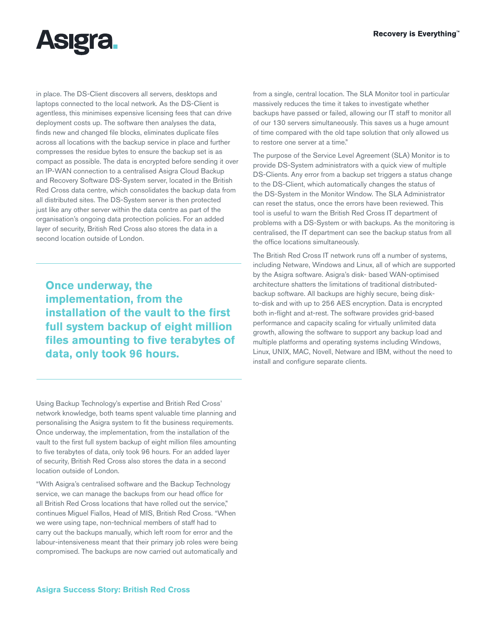

in place. The DS-Client discovers all servers, desktops and laptops connected to the local network. As the DS-Client is agentless, this minimises expensive licensing fees that can drive deployment costs up. The software then analyses the data, finds new and changed file blocks, eliminates duplicate files across all locations with the backup service in place and further compresses the residue bytes to ensure the backup set is as compact as possible. The data is encrypted before sending it over an IP-WAN connection to a centralised Asigra Cloud Backup and Recovery Software DS-System server, located in the British Red Cross data centre, which consolidates the backup data from all distributed sites. The DS-System server is then protected just like any other server within the data centre as part of the organisation's ongoing data protection policies. For an added layer of security, British Red Cross also stores the data in a second location outside of London.

**Once underway, the implementation, from the installation of the vault to the first full system backup of eight million files amounting to five terabytes of data, only took 96 hours.**

Using Backup Technology's expertise and British Red Cross' network knowledge, both teams spent valuable time planning and personalising the Asigra system to fit the business requirements. Once underway, the implementation, from the installation of the vault to the first full system backup of eight million files amounting to five terabytes of data, only took 96 hours. For an added layer of security, British Red Cross also stores the data in a second location outside of London.

"With Asigra's centralised software and the Backup Technology service, we can manage the backups from our head office for all British Red Cross locations that have rolled out the service," continues Miguel Fiallos, Head of MIS, British Red Cross. "When we were using tape, non-technical members of staff had to carry out the backups manually, which left room for error and the labour-intensiveness meant that their primary job roles were being compromised. The backups are now carried out automatically and from a single, central location. The SLA Monitor tool in particular massively reduces the time it takes to investigate whether backups have passed or failed, allowing our IT staff to monitor all of our 130 servers simultaneously. This saves us a huge amount of time compared with the old tape solution that only allowed us to restore one server at a time."

The purpose of the Service Level Agreement (SLA) Monitor is to provide DS-System administrators with a quick view of multiple DS-Clients. Any error from a backup set triggers a status change to the DS-Client, which automatically changes the status of the DS-System in the Monitor Window. The SLA Administrator can reset the status, once the errors have been reviewed. This tool is useful to warn the British Red Cross IT department of problems with a DS-System or with backups. As the monitoring is centralised, the IT department can see the backup status from all the office locations simultaneously.

The British Red Cross IT network runs off a number of systems, including Netware, Windows and Linux, all of which are supported by the Asigra software. Asigra's disk- based WAN-optimised architecture shatters the limitations of traditional distributedbackup software. All backups are highly secure, being diskto-disk and with up to 256 AES encryption. Data is encrypted both in-flight and at-rest. The software provides grid-based performance and capacity scaling for virtually unlimited data growth, allowing the software to support any backup load and multiple platforms and operating systems including Windows, Linux, UNIX, MAC, Novell, Netware and IBM, without the need to install and configure separate clients.